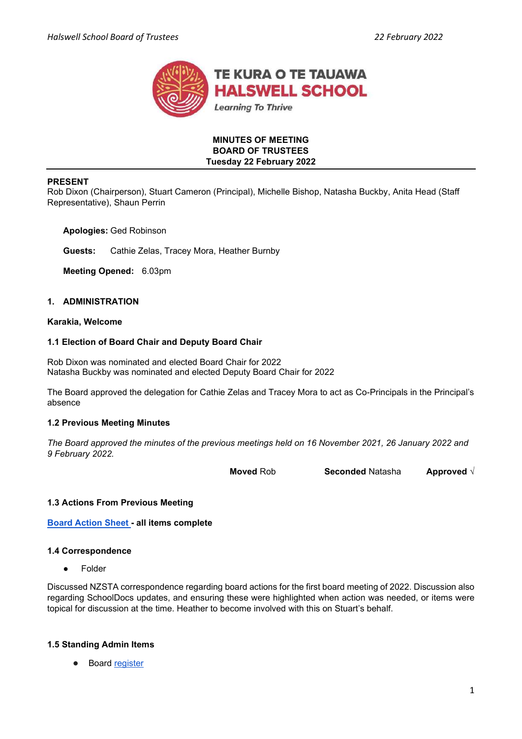

## MINUTES OF MEETING BOARD OF TRUSTEES Tuesday 22 February 2022

### PRESENT

Rob Dixon (Chairperson), Stuart Cameron (Principal), Michelle Bishop, Natasha Buckby, Anita Head (Staff Representative), Shaun Perrin

Apologies: Ged Robinson

Guests: Cathie Zelas, Tracey Mora, Heather Burnby

Meeting Opened: 6.03pm

## 1. ADMINISTRATION

## Karakia, Welcome

### 1.1 Election of Board Chair and Deputy Board Chair

Rob Dixon was nominated and elected Board Chair for 2022 Natasha Buckby was nominated and elected Deputy Board Chair for 2022

The Board approved the delegation for Cathie Zelas and Tracey Mora to act as Co-Principals in the Principal's absence

#### 1.2 Previous Meeting Minutes

The Board approved the minutes of the previous meetings held on 16 November 2021, 26 January 2022 and 9 February 2022.

Moved Rob Seconded Natasha Approved √

## 1.3 Actions From Previous Meeting

Board Action Sheet - all items complete

#### 1.4 Correspondence

**Folder** 

Discussed NZSTA correspondence regarding board actions for the first board meeting of 2022. Discussion also regarding SchoolDocs updates, and ensuring these were highlighted when action was needed, or items were topical for discussion at the time. Heather to become involved with this on Stuart's behalf.

#### 1.5 Standing Admin Items

**Board register**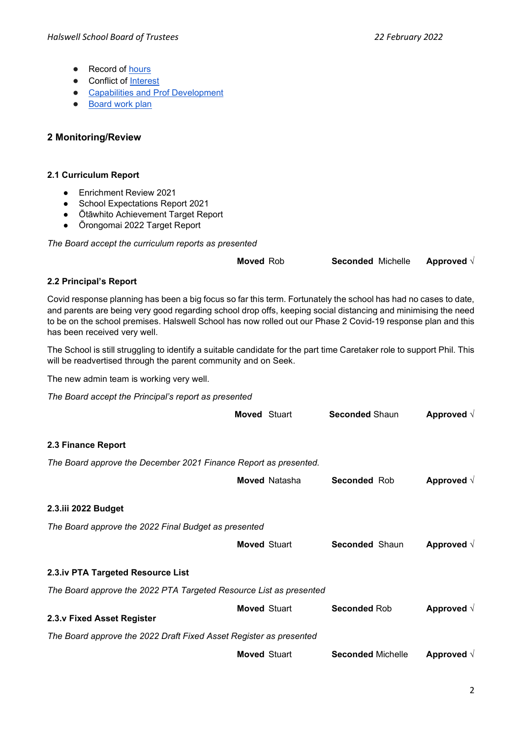- Record of hours
- Conflict of Interest
- Capabilities and Prof Development
- **Board work plan**

# 2 Monitoring/Review

# 2.1 Curriculum Report

- Enrichment Review 2021
- School Expectations Report 2021
- Ōtāwhito Achievement Target Report
- Ōrongomai 2022 Target Report

The Board accept the curriculum reports as presented

Moved Rob Seconded Michelle Approved √

# 2.2 Principal's Report

Covid response planning has been a big focus so far this term. Fortunately the school has had no cases to date, and parents are being very good regarding school drop offs, keeping social distancing and minimising the need to be on the school premises. Halswell School has now rolled out our Phase 2 Covid-19 response plan and this has been received very well.

The School is still struggling to identify a suitable candidate for the part time Caretaker role to support Phil. This will be readvertised through the parent community and on Seek.

The new admin team is working very well.

The Board accept the Principal's report as presented

|                                                                    | <b>Moved Stuart</b> |                      | <b>Seconded Shaun</b>    | Approved $\sqrt{ }$ |  |
|--------------------------------------------------------------------|---------------------|----------------------|--------------------------|---------------------|--|
| 2.3 Finance Report                                                 |                     |                      |                          |                     |  |
| The Board approve the December 2021 Finance Report as presented.   |                     |                      |                          |                     |  |
|                                                                    |                     | <b>Moved Natasha</b> | <b>Seconded Rob</b>      | Approved $\sqrt{}$  |  |
| 2.3.iii 2022 Budget                                                |                     |                      |                          |                     |  |
| The Board approve the 2022 Final Budget as presented               |                     |                      |                          |                     |  |
|                                                                    | <b>Moved Stuart</b> |                      | <b>Seconded Shaun</b>    | Approved $\sqrt{ }$ |  |
| 2.3.iv PTA Targeted Resource List                                  |                     |                      |                          |                     |  |
| The Board approve the 2022 PTA Targeted Resource List as presented |                     |                      |                          |                     |  |
| 2.3.v Fixed Asset Register                                         | <b>Moved Stuart</b> |                      | <b>Seconded Rob</b>      | Approved $\sqrt{}$  |  |
| The Board approve the 2022 Draft Fixed Asset Register as presented |                     |                      |                          |                     |  |
|                                                                    | <b>Moved Stuart</b> |                      | <b>Seconded Michelle</b> | Approved $\sqrt{}$  |  |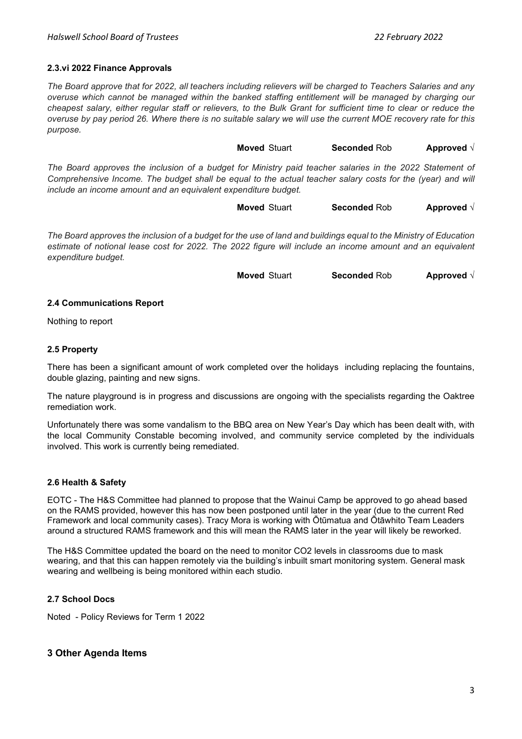### 2.3.vi 2022 Finance Approvals

The Board approve that for 2022, all teachers including relievers will be charged to Teachers Salaries and any overuse which cannot be managed within the banked staffing entitlement will be managed by charging our cheapest salary, either regular staff or relievers, to the Bulk Grant for sufficient time to clear or reduce the overuse by pay period 26. Where there is no suitable salary we will use the current MOE recovery rate for this purpose.

Moved Stuart Seconded Rob Approved √

The Board approves the inclusion of a budget for Ministry paid teacher salaries in the 2022 Statement of Comprehensive Income. The budget shall be equal to the actual teacher salary costs for the (year) and will include an income amount and an equivalent expenditure budget.

Moved Stuart Seconded Rob Approved √

The Board approves the inclusion of a budget for the use of land and buildings equal to the Ministry of Education estimate of notional lease cost for 2022. The 2022 figure will include an income amount and an equivalent expenditure budget.

Moved Stuart Seconded Rob Approved √

#### 2.4 Communications Report

Nothing to report

### 2.5 Property

There has been a significant amount of work completed over the holidays including replacing the fountains, double glazing, painting and new signs.

The nature playground is in progress and discussions are ongoing with the specialists regarding the Oaktree remediation work.

Unfortunately there was some vandalism to the BBQ area on New Year's Day which has been dealt with, with the local Community Constable becoming involved, and community service completed by the individuals involved. This work is currently being remediated.

#### 2.6 Health & Safety

EOTC - The H&S Committee had planned to propose that the Wainui Camp be approved to go ahead based on the RAMS provided, however this has now been postponed until later in the year (due to the current Red Framework and local community cases). Tracy Mora is working with Ōtūmatua and Ōtāwhito Team Leaders around a structured RAMS framework and this will mean the RAMS later in the year will likely be reworked.

The H&S Committee updated the board on the need to monitor CO2 levels in classrooms due to mask wearing, and that this can happen remotely via the building's inbuilt smart monitoring system. General mask wearing and wellbeing is being monitored within each studio.

#### 2.7 School Docs

Noted - Policy Reviews for Term 1 2022

# 3 Other Agenda Items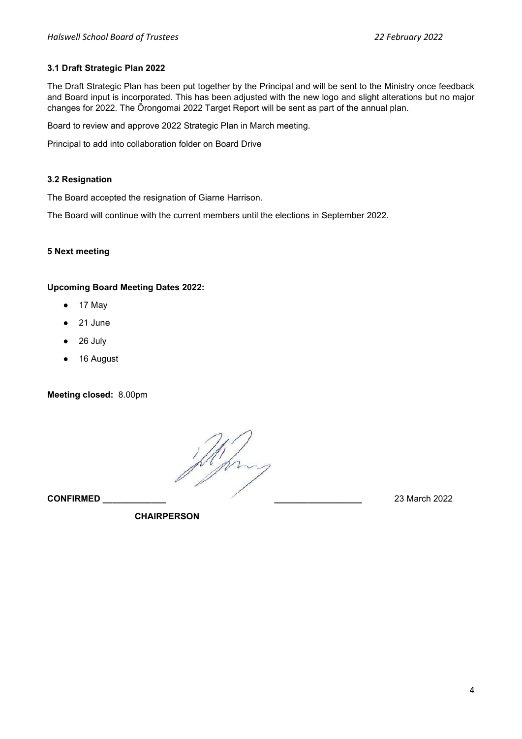# 3.1 Draft Strategic Plan 2022

The Draft Strategic Plan has been put together by the Principal and will be sent to the Ministry once feedback and Board input is incorporated. This has been adjusted with the new logo and slight alterations but no major changes for 2022. The Ōrongomai 2022 Target Report will be sent as part of the annual plan.

Board to review and approve 2022 Strategic Plan in March meeting.

Principal to add into collaboration folder on Board Drive

## 3.2 Resignation

The Board accepted the resignation of Giarne Harrison.

The Board will continue with the current members until the elections in September 2022.

## 5 Next meeting

## Upcoming Board Meeting Dates 2022:

- 17 May
- 21 June
- 26 July
- 16 August

Meeting closed: 8.00pm

This CONFIRMED \_\_\_\_\_\_\_\_\_\_\_\_\_ \_\_\_\_\_\_\_\_\_\_\_\_\_\_\_\_\_\_ 23 March 2022

**CHAIRPERSON**